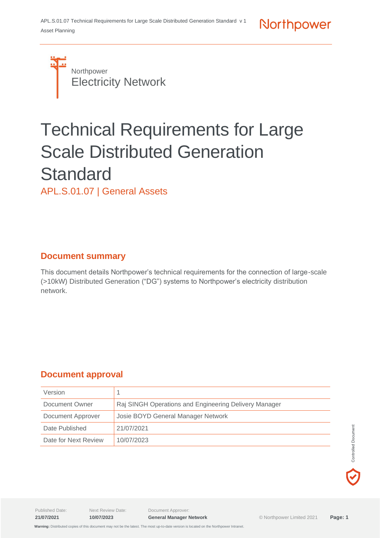

# Technical Requirements for Large Scale Distributed Generation **Standard**

APL.S.01.07 | General Assets

# **Document summary**

This document details Northpower's technical requirements for the connection of large-scale (>10kW) Distributed Generation ("DG") systems to Northpower's electricity distribution network.

# **Document approval**

| Version              |                                                       |
|----------------------|-------------------------------------------------------|
| Document Owner       | Raj SINGH Operations and Engineering Delivery Manager |
| Document Approver    | Josie BOYD General Manager Network                    |
| Date Published       | 21/07/2021                                            |
| Date for Next Review | 10/07/2023                                            |

Published Date: Next Review Date: Document Approver:

**21/07/2021 10/07/2023 General Manager Network** © Northpower Limited 2021 **Page: 1**

 **Warning:** Distributed copies of this document may not be the latest. The most up-to-date version is located on the Northpower Intranet.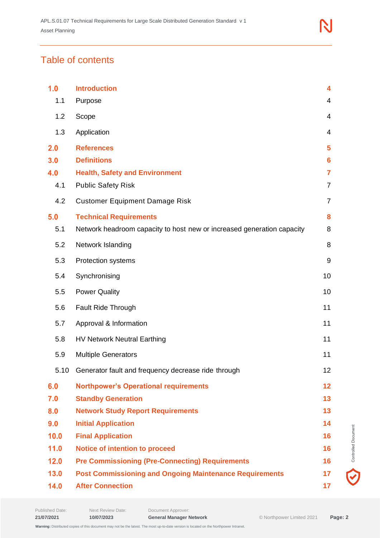# Table of contents

| 1.0  | <b>Introduction</b>                                                    | 4              |
|------|------------------------------------------------------------------------|----------------|
| 1.1  | Purpose                                                                | 4              |
| 1.2  | Scope                                                                  | $\overline{4}$ |
| 1.3  | Application                                                            | 4              |
| 2.0  | <b>References</b>                                                      | 5              |
| 3.0  | <b>Definitions</b>                                                     | 6              |
| 4.0  | <b>Health, Safety and Environment</b>                                  | 7              |
| 4.1  | <b>Public Safety Risk</b>                                              | $\overline{7}$ |
| 4.2  | <b>Customer Equipment Damage Risk</b>                                  | $\overline{7}$ |
| 5.0  | <b>Technical Requirements</b>                                          | 8              |
| 5.1  | Network headroom capacity to host new or increased generation capacity | 8              |
| 5.2  | Network Islanding                                                      | 8              |
| 5.3  | <b>Protection systems</b>                                              | 9              |
| 5.4  | Synchronising                                                          | 10             |
| 5.5  | <b>Power Quality</b>                                                   | 10             |
| 5.6  | Fault Ride Through                                                     | 11             |
| 5.7  | Approval & Information                                                 | 11             |
| 5.8  | <b>HV Network Neutral Earthing</b>                                     | 11             |
| 5.9  | <b>Multiple Generators</b>                                             | 11             |
| 5.10 | Generator fault and frequency decrease ride through                    | 12             |
| 6.0  | <b>Northpower's Operational requirements</b>                           | 12             |
| 7.0  | <b>Standby Generation</b>                                              | 13             |
| 8.0  | <b>Network Study Report Requirements</b>                               | 13             |
| 9.0  | <b>Initial Application</b>                                             | 14             |
| 10.0 | <b>Final Application</b>                                               | 16             |
| 11.0 | <b>Notice of intention to proceed</b>                                  | 16             |
| 12.0 | <b>Pre Commissioning (Pre-Connecting) Requirements</b>                 | 16             |
| 13.0 | <b>Post Commissioning and Ongoing Maintenance Requirements</b>         | 17             |
| 14.0 | <b>After Connection</b>                                                | 17             |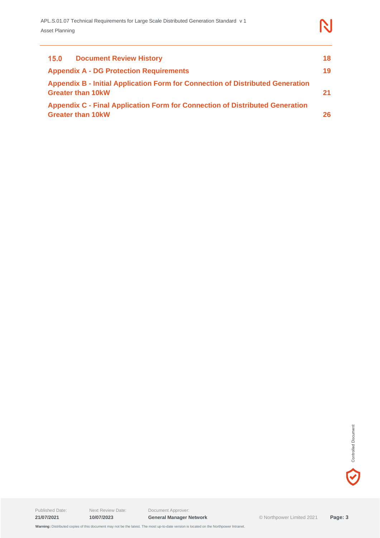| 15.0<br><b>Document Review History</b>                                                                     | 18  |
|------------------------------------------------------------------------------------------------------------|-----|
| <b>Appendix A - DG Protection Requirements</b>                                                             | 19  |
| Appendix B - Initial Application Form for Connection of Distributed Generation<br><b>Greater than 10kW</b> |     |
| Appendix C - Final Application Form for Connection of Distributed Generation<br><b>Greater than 10kW</b>   | 26. |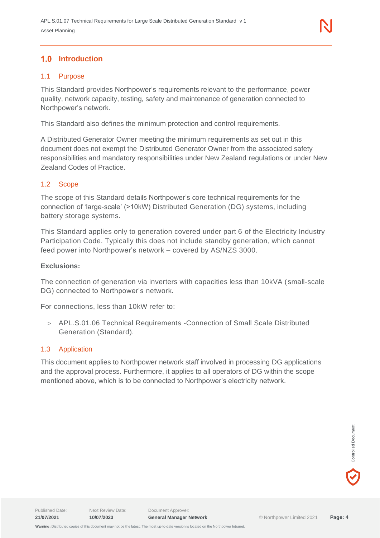# <span id="page-3-0"></span>**1.0 Introduction**

#### <span id="page-3-1"></span>1.1 Purpose

This Standard provides Northpower's requirements relevant to the performance, power quality, network capacity, testing, safety and maintenance of generation connected to Northpower's network.

This Standard also defines the minimum protection and control requirements.

A Distributed Generator Owner meeting the minimum requirements as set out in this document does not exempt the Distributed Generator Owner from the associated safety responsibilities and mandatory responsibilities under New Zealand regulations or under New Zealand Codes of Practice.

#### <span id="page-3-2"></span>1.2 Scope

The scope of this Standard details Northpower's core technical requirements for the connection of 'large-scale' (>10kW) Distributed Generation (DG) systems, including battery storage systems.

This Standard applies only to generation covered under part 6 of the Electricity Industry Participation Code. Typically this does not include standby generation, which cannot feed power into Northpower's network – covered by AS/NZS 3000.

#### **Exclusions:**

The connection of generation via inverters with capacities less than 10kVA (small-scale DG) connected to Northpower's network.

For connections, less than 10kW refer to:

 APL.S.01.06 Technical Requirements -Connection of Small Scale Distributed Generation (Standard).

#### <span id="page-3-3"></span>1.3 Application

This document applies to Northpower network staff involved in processing DG applications and the approval process. Furthermore, it applies to all operators of DG within the scope mentioned above, which is to be connected to Northpower's electricity network.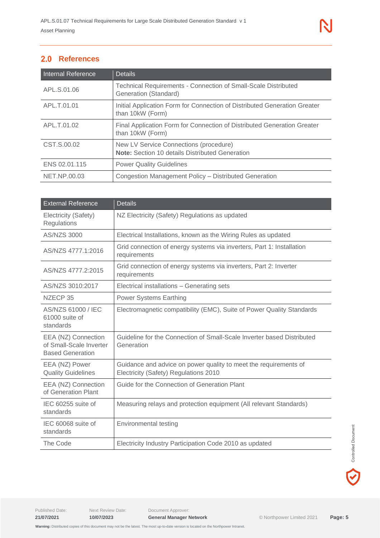# <span id="page-4-0"></span>2.0 References

| <b>Internal Reference</b> | <b>Details</b>                                                                                   |
|---------------------------|--------------------------------------------------------------------------------------------------|
| APL S.01.06               | <b>Technical Requirements - Connection of Small-Scale Distributed</b><br>Generation (Standard)   |
| APL.T.01.01               | Initial Application Form for Connection of Distributed Generation Greater<br>than 10kW (Form)    |
| APL.T.01.02               | Final Application Form for Connection of Distributed Generation Greater<br>than 10kW (Form)      |
| CST.S.00.02               | New LV Service Connections (procedure)<br><b>Note:</b> Section 10 details Distributed Generation |
| ENS 02.01.115             | <b>Power Quality Guidelines</b>                                                                  |
| NET.NP.00.03              | Congestion Management Policy - Distributed Generation                                            |

| <b>External Reference</b>                                                 | <b>Details</b>                                                                                            |
|---------------------------------------------------------------------------|-----------------------------------------------------------------------------------------------------------|
| Electricity (Safety)<br>Regulations                                       | NZ Electricity (Safety) Regulations as updated                                                            |
| <b>AS/NZS 3000</b>                                                        | Electrical Installations, known as the Wiring Rules as updated                                            |
| AS/NZS 4777.1:2016                                                        | Grid connection of energy systems via inverters, Part 1: Installation<br>requirements                     |
| AS/NZS 4777.2:2015                                                        | Grid connection of energy systems via inverters, Part 2: Inverter<br>requirements                         |
| AS/NZS 3010:2017                                                          | Electrical installations - Generating sets                                                                |
| NZECP 35                                                                  | <b>Power Systems Earthing</b>                                                                             |
| AS/NZS 61000 / IEC<br>61000 suite of<br>standards                         | Electromagnetic compatibility (EMC), Suite of Power Quality Standards                                     |
| EEA (NZ) Connection<br>of Small-Scale Inverter<br><b>Based Generation</b> | Guideline for the Connection of Small-Scale Inverter based Distributed<br>Generation                      |
| EEA (NZ) Power<br><b>Quality Guidelines</b>                               | Guidance and advice on power quality to meet the requirements of<br>Electricity (Safety) Regulations 2010 |
| EEA (NZ) Connection<br>of Generation Plant                                | Guide for the Connection of Generation Plant                                                              |
| IEC 60255 suite of<br>standards                                           | Measuring relays and protection equipment (All relevant Standards)                                        |
| IEC 60068 suite of<br>standards                                           | <b>Environmental testing</b>                                                                              |
| The Code                                                                  | Electricity Industry Participation Code 2010 as updated                                                   |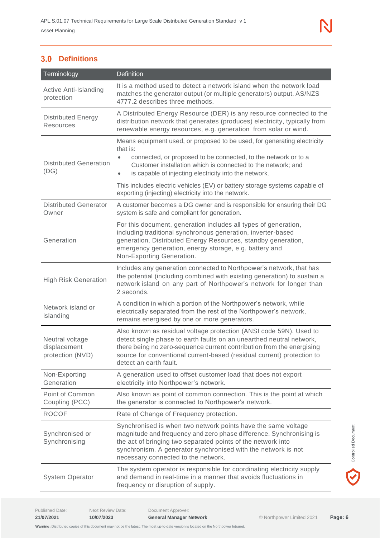# <span id="page-5-0"></span>**Definitions**

| Terminology                                         | <b>Definition</b>                                                                                                                                                                                                                                                                                                                                                                                                                              |  |
|-----------------------------------------------------|------------------------------------------------------------------------------------------------------------------------------------------------------------------------------------------------------------------------------------------------------------------------------------------------------------------------------------------------------------------------------------------------------------------------------------------------|--|
| <b>Active Anti-Islanding</b><br>protection          | It is a method used to detect a network island when the network load<br>matches the generator output (or multiple generators) output. AS/NZS<br>4777.2 describes three methods.                                                                                                                                                                                                                                                                |  |
| <b>Distributed Energy</b><br><b>Resources</b>       | A Distributed Energy Resource (DER) is any resource connected to the<br>distribution network that generates (produces) electricity, typically from<br>renewable energy resources, e.g. generation from solar or wind.                                                                                                                                                                                                                          |  |
| <b>Distributed Generation</b><br>(DG)               | Means equipment used, or proposed to be used, for generating electricity<br>that is:<br>connected, or proposed to be connected, to the network or to a<br>$\bullet$<br>Customer installation which is connected to the network; and<br>is capable of injecting electricity into the network.<br>$\bullet$<br>This includes electric vehicles (EV) or battery storage systems capable of<br>exporting (injecting) electricity into the network. |  |
| <b>Distributed Generator</b><br>Owner               | A customer becomes a DG owner and is responsible for ensuring their DG<br>system is safe and compliant for generation.                                                                                                                                                                                                                                                                                                                         |  |
| Generation                                          | For this document, generation includes all types of generation,<br>including traditional synchronous generation, inverter-based<br>generation, Distributed Energy Resources, standby generation,<br>emergency generation, energy storage, e.g. battery and<br>Non-Exporting Generation.                                                                                                                                                        |  |
| <b>High Risk Generation</b>                         | Includes any generation connected to Northpower's network, that has<br>the potential (including combined with existing generation) to sustain a<br>network island on any part of Northpower's network for longer than<br>2 seconds.                                                                                                                                                                                                            |  |
| Network island or<br>islanding                      | A condition in which a portion of the Northpower's network, while<br>electrically separated from the rest of the Northpower's network,<br>remains energised by one or more generators.                                                                                                                                                                                                                                                         |  |
| Neutral voltage<br>displacement<br>protection (NVD) | Also known as residual voltage protection (ANSI code 59N). Used to<br>detect single phase to earth faults on an unearthed neutral network,<br>there being no zero-sequence current contribution from the energising<br>source for conventional current-based (residual current) protection to<br>detect an earth fault.                                                                                                                        |  |
| Non-Exporting<br>Generation                         | A generation used to offset customer load that does not export<br>electricity into Northpower's network.                                                                                                                                                                                                                                                                                                                                       |  |
| Point of Common<br>Coupling (PCC)                   | Also known as point of common connection. This is the point at which<br>the generator is connected to Northpower's network.                                                                                                                                                                                                                                                                                                                    |  |
| <b>ROCOF</b>                                        | Rate of Change of Frequency protection.                                                                                                                                                                                                                                                                                                                                                                                                        |  |
| Synchronised or<br>Synchronising                    | Synchronised is when two network points have the same voltage<br>magnitude and frequency and zero phase difference. Synchronising is<br>the act of bringing two separated points of the network into<br>synchronism. A generator synchronised with the network is not<br>necessary connected to the network.                                                                                                                                   |  |
| <b>System Operator</b>                              | The system operator is responsible for coordinating electricity supply<br>and demand in real-time in a manner that avoids fluctuations in<br>frequency or disruption of supply.                                                                                                                                                                                                                                                                |  |

V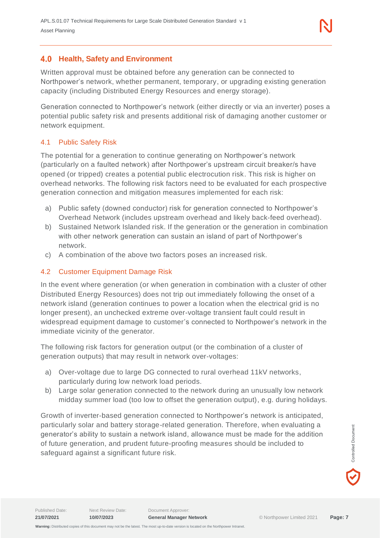# <span id="page-6-0"></span>**Health, Safety and Environment**

Written approval must be obtained before any generation can be connected to Northpower's network, whether permanent, temporary, or upgrading existing generation capacity (including Distributed Energy Resources and energy storage).

Generation connected to Northpower's network (either directly or via an inverter) poses a potential public safety risk and presents additional risk of damaging another customer or network equipment.

# <span id="page-6-1"></span>4.1 Public Safety Risk

The potential for a generation to continue generating on Northpower's network (particularly on a faulted network) after Northpower's upstream circuit breaker/s have opened (or tripped) creates a potential public electrocution risk. This risk is higher on overhead networks. The following risk factors need to be evaluated for each prospective generation connection and mitigation measures implemented for each risk:

- a) Public safety (downed conductor) risk for generation connected to Northpower's Overhead Network (includes upstream overhead and likely back-feed overhead).
- b) Sustained Network Islanded risk. If the generation or the generation in combination with other network generation can sustain an island of part of Northpower's network.
- c) A combination of the above two factors poses an increased risk.

#### <span id="page-6-2"></span>4.2 Customer Equipment Damage Risk

In the event where generation (or when generation in combination with a cluster of other Distributed Energy Resources) does not trip out immediately following the onset of a network island (generation continues to power a location when the electrical grid is no longer present), an unchecked extreme over-voltage transient fault could result in widespread equipment damage to customer's connected to Northpower's network in the immediate vicinity of the generator.

The following risk factors for generation output (or the combination of a cluster of generation outputs) that may result in network over-voltages:

- a) Over-voltage due to large DG connected to rural overhead 11kV networks, particularly during low network load periods.
- b) Large solar generation connected to the network during an unusually low network midday summer load (too low to offset the generation output), e.g. during holidays.

Growth of inverter-based generation connected to Northpower's network is anticipated, particularly solar and battery storage-related generation. Therefore, when evaluating a generator's ability to sustain a network island, allowance must be made for the addition of future generation, and prudent future-proofing measures should be included to safeguard against a significant future risk.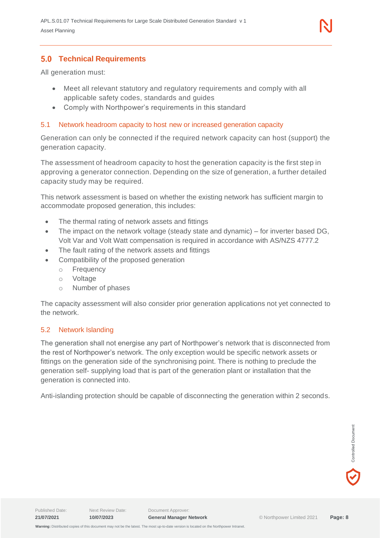

# <span id="page-7-0"></span>**Technical Requirements**

All generation must:

- Meet all relevant statutory and regulatory requirements and comply with all applicable safety codes, standards and guides
- Comply with Northpower's requirements in this standard

#### <span id="page-7-1"></span>5.1 Network headroom capacity to host new or increased generation capacity

Generation can only be connected if the required network capacity can host (support) the generation capacity.

The assessment of headroom capacity to host the generation capacity is the first step in approving a generator connection. Depending on the size of generation, a further detailed capacity study may be required.

This network assessment is based on whether the existing network has sufficient margin to accommodate proposed generation, this includes:

- The thermal rating of network assets and fittings
- The impact on the network voltage (steady state and dynamic) for inverter based DG, Volt Var and Volt Watt compensation is required in accordance with AS/NZS 4777.2
- The fault rating of the network assets and fittings
- Compatibility of the proposed generation
	- o Frequency
	- o Voltage
	- o Number of phases

The capacity assessment will also consider prior generation applications not yet connected to the network.

#### <span id="page-7-2"></span>5.2 Network Islanding

The generation shall not energise any part of Northpower's network that is disconnected from the rest of Northpower's network. The only exception would be specific network assets or fittings on the generation side of the synchronising point. There is nothing to preclude the generation self- supplying load that is part of the generation plant or installation that the generation is connected into.

Anti-islanding protection should be capable of disconnecting the generation within 2 seconds.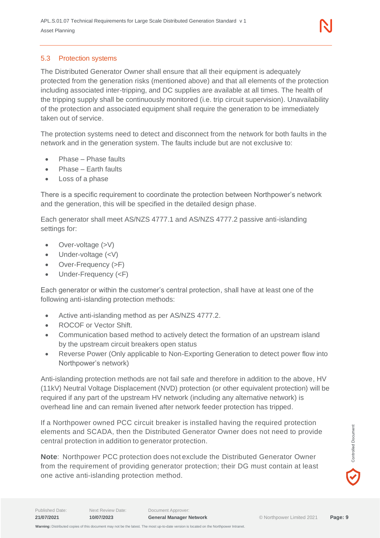#### <span id="page-8-0"></span>5.3 Protection systems

The Distributed Generator Owner shall ensure that all their equipment is adequately protected from the generation risks (mentioned above) and that all elements of the protection including associated inter-tripping, and DC supplies are available at all times. The health of the tripping supply shall be continuously monitored (i.e. trip circuit supervision). Unavailability of the protection and associated equipment shall require the generation to be immediately taken out of service.

The protection systems need to detect and disconnect from the network for both faults in the network and in the generation system. The faults include but are not exclusive to:

- Phase Phase faults
- Phase Farth faults
- Loss of a phase

There is a specific requirement to coordinate the protection between Northpower's network and the generation, this will be specified in the detailed design phase.

Each generator shall meet AS/NZS 4777.1 and AS/NZS 4777.2 passive anti-islanding settings for:

- Over-voltage (>V)
- Under-voltage  $(<\vee$ )
- Over-Frequency (>F)
- Under-Frequency (<F)

Each generator or within the customer's central protection, shall have at least one of the following anti-islanding protection methods:

- Active anti-islanding method as per AS/NZS 4777.2.
- ROCOF or Vector Shift.
- Communication based method to actively detect the formation of an upstream island by the upstream circuit breakers open status
- Reverse Power (Only applicable to Non-Exporting Generation to detect power flow into Northpower's network)

Anti-islanding protection methods are not fail safe and therefore in addition to the above, HV (11kV) Neutral Voltage Displacement (NVD) protection (or other equivalent protection) will be required if any part of the upstream HV network (including any alternative network) is overhead line and can remain livened after network feeder protection has tripped.

If a Northpower owned PCC circuit breaker is installed having the required protection elements and SCADA, then the Distributed Generator Owner does not need to provide central protection in addition to generator protection.

**Note**: Northpower PCC protection does not exclude the Distributed Generator Owner from the requirement of providing generator protection; their DG must contain at least one active anti-islanding protection method.

Controlled Document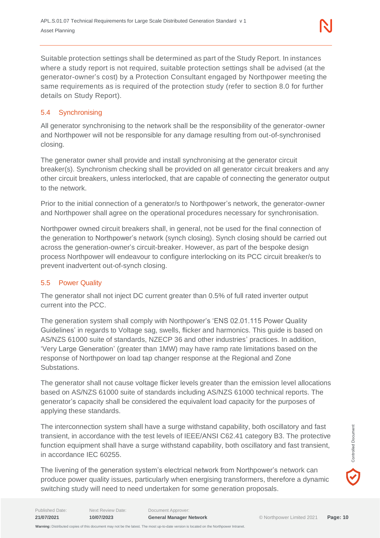Suitable protection settings shall be determined as part of the Study Report. In instances where a study report is not required, suitable protection settings shall be advised (at the generator-owner's cost) by a Protection Consultant engaged by Northpower meeting the same requirements as is required of the protection study (refer to section 8.0 for further details on Study Report).

# <span id="page-9-0"></span>5.4 Synchronising

All generator synchronising to the network shall be the responsibility of the generator-owner and Northpower will not be responsible for any damage resulting from out-of-synchronised closing.

The generator owner shall provide and install synchronising at the generator circuit breaker(s). Synchronism checking shall be provided on all generator circuit breakers and any other circuit breakers, unless interlocked, that are capable of connecting the generator output to the network.

Prior to the initial connection of a generator/s to Northpower's network, the generator-owner and Northpower shall agree on the operational procedures necessary for synchronisation.

Northpower owned circuit breakers shall, in general, not be used for the final connection of the generation to Northpower's network (synch closing). Synch closing should be carried out across the generation-owner's circuit-breaker. However, as part of the bespoke design process Northpower will endeavour to configure interlocking on its PCC circuit breaker/s to prevent inadvertent out-of-synch closing.

# <span id="page-9-1"></span>5.5 Power Quality

The generator shall not inject DC current greater than 0.5% of full rated inverter output current into the PCC.

The generation system shall comply with Northpower's 'ENS 02.01.115 Power Quality Guidelines' in regards to Voltage sag, swells, flicker and harmonics. This guide is based on AS/NZS 61000 suite of standards, NZECP 36 and other industries' practices. In addition, 'Very Large Generation' (greater than 1MW) may have ramp rate limitations based on the response of Northpower on load tap changer response at the Regional and Zone Substations.

The generator shall not cause voltage flicker levels greater than the emission level allocations based on AS/NZS 61000 suite of standards including AS/NZS 61000 technical reports. The generator's capacity shall be considered the equivalent load capacity for the purposes of applying these standards.

The interconnection system shall have a surge withstand capability, both oscillatory and fast transient, in accordance with the test levels of IEEE/ANSI C62.41 category B3. The protective function equipment shall have a surge withstand capability, both oscillatory and fast transient, in accordance IEC 60255.

The livening of the generation system's electrical network from Northpower's network can produce power quality issues, particularly when energising transformers, therefore a dynamic switching study will need to need undertaken for some generation proposals.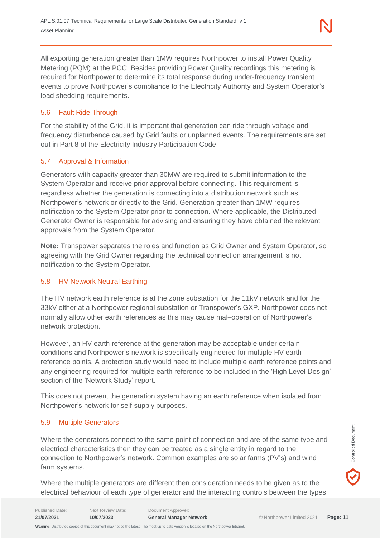All exporting generation greater than 1MW requires Northpower to install Power Quality Metering (PQM) at the PCC. Besides providing Power Quality recordings this metering is required for Northpower to determine its total response during under-frequency transient events to prove Northpower's compliance to the Electricity Authority and System Operator's load shedding requirements.

# <span id="page-10-0"></span>5.6 Fault Ride Through

For the stability of the Grid, it is important that generation can ride through voltage and frequency disturbance caused by Grid faults or unplanned events. The requirements are set out in Part 8 of the Electricity Industry Participation Code.

# <span id="page-10-1"></span>5.7 Approval & Information

Generators with capacity greater than 30MW are required to submit information to the System Operator and receive prior approval before connecting. This requirement is regardless whether the generation is connecting into a distribution network such as Northpower's network or directly to the Grid. Generation greater than 1MW requires notification to the System Operator prior to connection. Where applicable, the Distributed Generator Owner is responsible for advising and ensuring they have obtained the relevant approvals from the System Operator.

**Note:** Transpower separates the roles and function as Grid Owner and System Operator, so agreeing with the Grid Owner regarding the technical connection arrangement is not notification to the System Operator.

# <span id="page-10-2"></span>5.8 HV Network Neutral Earthing

The HV network earth reference is at the zone substation for the 11kV network and for the 33kV either at a Northpower regional substation or Transpower's GXP. Northpower does not normally allow other earth references as this may cause mal–operation of Northpower's network protection.

However, an HV earth reference at the generation may be acceptable under certain conditions and Northpower's network is specifically engineered for multiple HV earth reference points. A protection study would need to include multiple earth reference points and any engineering required for multiple earth reference to be included in the 'High Level Design' section of the 'Network Study' report.

This does not prevent the generation system having an earth reference when isolated from Northpower's network for self-supply purposes.

# <span id="page-10-3"></span>5.9 Multiple Generators

Where the generators connect to the same point of connection and are of the same type and electrical characteristics then they can be treated as a single entity in regard to the connection to Northpower's network. Common examples are solar farms (PV's) and wind farm systems.

Where the multiple generators are different then consideration needs to be given as to the electrical behaviour of each type of generator and the interacting controls between the types

Published Date: Next Review Date: Document Approver:

Controlled Document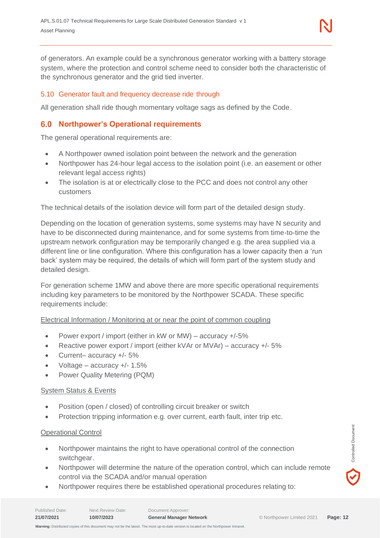of generators. An example could be a synchronous generator working with a battery storage system, where the protection and control scheme need to consider both the characteristic of the synchronous generator and the grid tied inverter.

#### <span id="page-11-0"></span>5.10 Generator fault and frequency decrease ride through

All generation shall ride though momentary voltage sags as defined by the Code.

# <span id="page-11-1"></span>**Northpower's Operational requirements**

The general operational requirements are:

- A Northpower owned isolation point between the network and the generation
- Northpower has 24-hour legal access to the isolation point (i.e. an easement or other relevant legal access rights)
- The isolation is at or electrically close to the PCC and does not control any other customers

The technical details of the isolation device will form part of the detailed design study.

Depending on the location of generation systems, some systems may have N security and have to be disconnected during maintenance, and for some systems from time-to-time the upstream network configuration may be temporarily changed e.g. the area supplied via a different line or line configuration. Where this configuration has a lower capacity then a 'run back' system may be required, the details of which will form part of the system study and detailed design.

For generation scheme 1MW and above there are more specific operational requirements including key parameters to be monitored by the Northpower SCADA. These specific requirements include:

#### Electrical Information / Monitoring at or near the point of common coupling

- Power export / import (either in kW or MW) accuracy +/-5%
- Reactive power export / import (either kVAr or MVAr) accuracy +/- 5%
- Current– accuracy +/- 5%
- Voltage accuracy  $+/- 1.5\%$
- Power Quality Metering (PQM)

#### System Status & Events

- Position (open / closed) of controlling circuit breaker or switch
- Protection tripping information e.g. over current, earth fault, inter trip etc.

#### Operational Control

- Northpower maintains the right to have operational control of the connection switchgear.
- Northpower will determine the nature of the operation control, which can include remote control via the SCADA and/or manual operation
- Northpower requires there be established operational procedures relating to: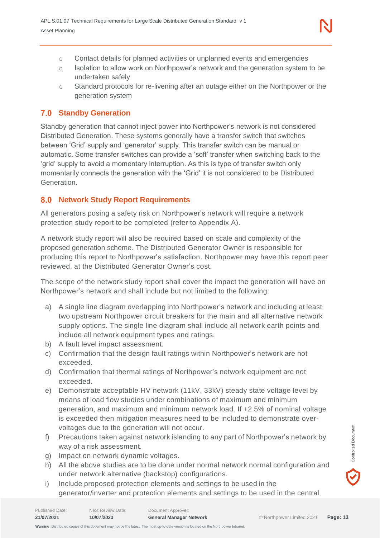- o Contact details for planned activities or unplanned events and emergencies
- $\circ$  Isolation to allow work on Northpower's network and the generation system to be undertaken safely
- o Standard protocols for re-livening after an outage either on the Northpower or the generation system

# <span id="page-12-0"></span>**Standby Generation**

Standby generation that cannot inject power into Northpower's network is not considered Distributed Generation. These systems generally have a transfer switch that switches between 'Grid' supply and 'generator' supply. This transfer switch can be manual or automatic. Some transfer switches can provide a 'soft' transfer when switching back to the 'grid' supply to avoid a momentary interruption. As this is type of transfer switch only momentarily connects the generation with the 'Grid' it is not considered to be Distributed Generation.

# <span id="page-12-1"></span>**Network Study Report Requirements**

All generators posing a safety risk on Northpower's network will require a network protection study report to be completed (refer to Appendix A).

A network study report will also be required based on scale and complexity of the proposed generation scheme. The Distributed Generator Owner is responsible for producing this report to Northpower's satisfaction. Northpower may have this report peer reviewed, at the Distributed Generator Owner's cost.

The scope of the network study report shall cover the impact the generation will have on Northpower's network and shall include but not limited to the following:

- a) A single line diagram overlapping into Northpower's network and including at least two upstream Northpower circuit breakers for the main and all alternative network supply options. The single line diagram shall include all network earth points and include all network equipment types and ratings.
- b) A fault level impact assessment.
- c) Confirmation that the design fault ratings within Northpower's network are not exceeded.
- d) Confirmation that thermal ratings of Northpower's network equipment are not exceeded.
- e) Demonstrate acceptable HV network (11kV, 33kV) steady state voltage level by means of load flow studies under combinations of maximum and minimum generation, and maximum and minimum network load. If +2.5% of nominal voltage is exceeded then mitigation measures need to be included to demonstrate overvoltages due to the generation will not occur.
- f) Precautions taken against network islanding to any part of Northpower's network by way of a risk assessment.
- g) Impact on network dynamic voltages.
- h) All the above studies are to be done under normal network normal configuration and under network alternative (backstop) configurations.
- i) Include proposed protection elements and settings to be used in the generator/inverter and protection elements and settings to be used in the central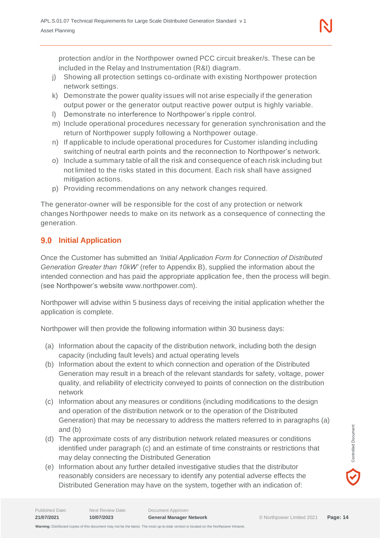protection and/or in the Northpower owned PCC circuit breaker/s. These can be included in the Relay and Instrumentation (R&I) diagram.

- j) Showing all protection settings co-ordinate with existing Northpower protection network settings.
- k) Demonstrate the power quality issues will not arise especially if the generation output power or the generator output reactive power output is highly variable.
- l) Demonstrate no interference to Northpower's ripple control.
- m) Include operational procedures necessary for generation synchronisation and the return of Northpower supply following a Northpower outage.
- n) If applicable to include operational procedures for Customer islanding including switching of neutral earth points and the reconnection to Northpower's network.
- o) Include a summary table of all the risk and consequence of each risk including but not limited to the risks stated in this document. Each risk shall have assigned mitigation actions.
- p) Providing recommendations on any network changes required.

The generator-owner will be responsible for the cost of any protection or network changes Northpower needs to make on its network as a consequence of connecting the generation.

# <span id="page-13-0"></span>**9.0 Initial Application**

Once the Customer has submitted an *'Initial Application Form for Connection of Distributed Generation Greater than 10kW'* (refer to Appendix B), supplied the information about the intended connection and has paid the appropriate application fee, then the process will begin. (see Northpower's website www.northpower.com).

Northpower will advise within 5 business days of receiving the initial application whether the application is complete.

Northpower will then provide the following information within 30 business days:

- (a) Information about the capacity of the distribution network, including both the design capacity (including fault levels) and actual operating levels
- (b) Information about the extent to which connection and operation of the Distributed Generation may result in a breach of the relevant standards for safety, voltage, power quality, and reliability of electricity conveyed to points of connection on the distribution network
- (c) Information about any measures or conditions (including modifications to the design and operation of the distribution network or to the operation of the Distributed Generation) that may be necessary to address the matters referred to in paragraphs (a) and (b)
- (d) The approximate costs of any distribution network related measures or conditions identified under paragraph (c) and an estimate of time constraints or restrictions that may delay connecting the Distributed Generation
- (e) Information about any further detailed investigative studies that the distributor reasonably considers are necessary to identify any potential adverse effects the Distributed Generation may have on the system, together with an indication of: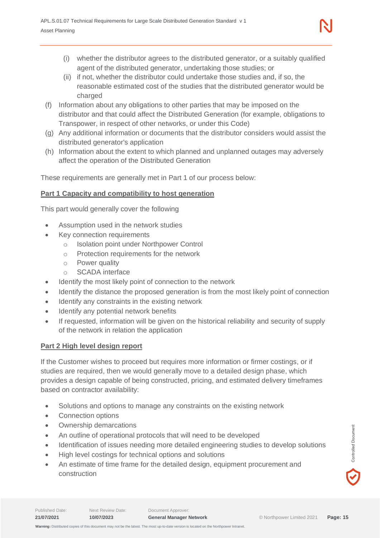- (i) whether the distributor agrees to the distributed generator, or a suitably qualified agent of the distributed generator, undertaking those studies; or
- (ii) if not, whether the distributor could undertake those studies and, if so, the reasonable estimated cost of the studies that the distributed generator would be charged
- (f) Information about any obligations to other parties that may be imposed on the distributor and that could affect the Distributed Generation (for example, obligations to Transpower, in respect of other networks, or under this Code)
- (g) Any additional information or documents that the distributor considers would assist the distributed generator's application
- (h) Information about the extent to which planned and unplanned outages may adversely affect the operation of the Distributed Generation

These requirements are generally met in Part 1 of our process below:

#### **Part 1 Capacity and compatibility to host generation**

This part would generally cover the following

- Assumption used in the network studies
- Key connection requirements
	- o Isolation point under Northpower Control
	- o Protection requirements for the network
	- o Power quality
	- o SCADA interface
- Identify the most likely point of connection to the network
- Identify the distance the proposed generation is from the most likely point of connection
- Identify any constraints in the existing network
- Identify any potential network benefits
- If requested, information will be given on the historical reliability and security of supply of the network in relation the application

#### **Part 2 High level design report**

If the Customer wishes to proceed but requires more information or firmer costings, or if studies are required, then we would generally move to a detailed design phase, which provides a design capable of being constructed, pricing, and estimated delivery timeframes based on contractor availability:

- Solutions and options to manage any constraints on the existing network
- Connection options
- Ownership demarcations
- An outline of operational protocols that will need to be developed
- Identification of issues needing more detailed engineering studies to develop solutions
- High level costings for technical options and solutions
- An estimate of time frame for the detailed design, equipment procurement and construction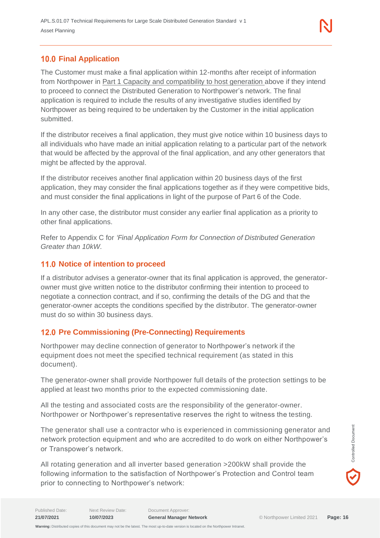# <span id="page-15-0"></span>**10.0 Final Application**

The Customer must make a final application within 12-months after receipt of information from Northpower in Part 1 Capacity and compatibility to host generation above if they intend to proceed to connect the Distributed Generation to Northpower's network. The final application is required to include the results of any investigative studies identified by Northpower as being required to be undertaken by the Customer in the initial application submitted.

If the distributor receives a final application, they must give notice within 10 business days to all individuals who have made an initial application relating to a particular part of the network that would be affected by the approval of the final application, and any other generators that might be affected by the approval.

If the distributor receives another final application within 20 business days of the first application, they may consider the final applications together as if they were competitive bids, and must consider the final applications in light of the purpose of Part 6 of the Code.

In any other case, the distributor must consider any earlier final application as a priority to other final applications.

Refer to Appendix C for *'Final Application Form for Connection of Distributed Generation Greater than 10kW.*

# <span id="page-15-1"></span>**11.0 Notice of intention to proceed**

If a distributor advises a generator-owner that its final application is approved, the generatorowner must give written notice to the distributor confirming their intention to proceed to negotiate a connection contract, and if so, confirming the details of the DG and that the generator-owner accepts the conditions specified by the distributor. The generator-owner must do so within 30 business days.

# <span id="page-15-2"></span>**Pre Commissioning (Pre-Connecting) Requirements**

Northpower may decline connection of generator to Northpower's network if the equipment does not meet the specified technical requirement (as stated in this document).

The generator-owner shall provide Northpower full details of the protection settings to be applied at least two months prior to the expected commissioning date.

All the testing and associated costs are the responsibility of the generator-owner. Northpower or Northpower's representative reserves the right to witness the testing.

The generator shall use a contractor who is experienced in commissioning generator and network protection equipment and who are accredited to do work on either Northpower's or Transpower's network.

All rotating generation and all inverter based generation >200kW shall provide the following information to the satisfaction of Northpower's Protection and Control team prior to connecting to Northpower's network: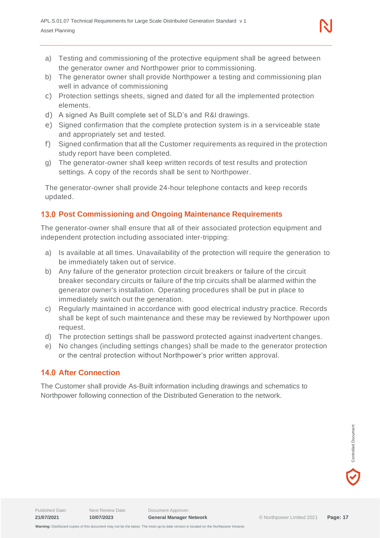- a) Testing and commissioning of the protective equipment shall be agreed between the generator owner and Northpower prior to commissioning.
- b) The generator owner shall provide Northpower a testing and commissioning plan well in advance of commissioning
- c) Protection settings sheets, signed and dated for all the implemented protection elements.
- d) A signed As Built complete set of SLD's and R&I drawings.
- e) Signed confirmation that the complete protection system is in a serviceable state and appropriately set and tested.
- f) Signed confirmation that all the Customer requirements as required in the protection study report have been completed.
- g) The generator-owner shall keep written records of test results and protection settings. A copy of the records shall be sent to Northpower.

The generator-owner shall provide 24-hour telephone contacts and keep records updated.

# <span id="page-16-0"></span>**Post Commissioning and Ongoing Maintenance Requirements**

The generator-owner shall ensure that all of their associated protection equipment and independent protection including associated inter-tripping:

- a) Is available at all times. Unavailability of the protection will require the generation to be immediately taken out of service.
- b) Any failure of the generator protection circuit breakers or failure of the circuit breaker secondary circuits or failure of the trip circuits shall be alarmed within the generator owner's installation. Operating procedures shall be put in place to immediately switch out the generation.
- c) Regularly maintained in accordance with good electrical industry practice. Records shall be kept of such maintenance and these may be reviewed by Northpower upon request.
- d) The protection settings shall be password protected against inadvertent changes.
- e) No changes (including settings changes) shall be made to the generator protection or the central protection without Northpower's prior written approval.

# <span id="page-16-1"></span>**14.0 After Connection**

The Customer shall provide As-Built information including drawings and schematics to Northpower following connection of the Distributed Generation to the network.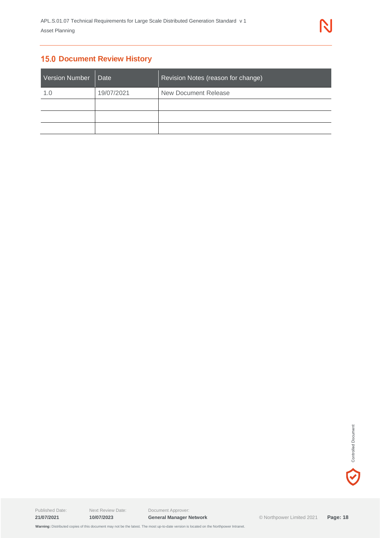# <span id="page-17-0"></span>**15.0 Document Review History**

| <b>Version Number</b> | Date       | Revision Notes (reason for change) |
|-----------------------|------------|------------------------------------|
| 1.0                   | 19/07/2021 | New Document Release               |
|                       |            |                                    |
|                       |            |                                    |
|                       |            |                                    |

V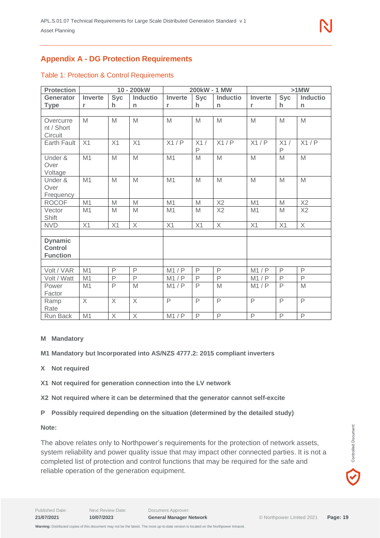# <span id="page-18-0"></span>**Appendix A - DG Protection Requirements**

| <b>Protection</b> |                |              | 10 - 200kW      |              | 200kW - 1 MW       |                 |                |                | $>1$ MW         |
|-------------------|----------------|--------------|-----------------|--------------|--------------------|-----------------|----------------|----------------|-----------------|
| Generator         | <b>Inverte</b> | <b>Syc</b>   | <b>Inductio</b> | Inverte      | <b>Syc</b>         | <b>Inductio</b> | <b>Inverte</b> | <b>Syc</b>     | <b>Inductio</b> |
| <b>Type</b>       | r              | h.           | n               | r            | h.                 | $\mathsf{n}$    | r              | h.             | n               |
|                   |                |              |                 |              |                    |                 |                |                |                 |
| Overcurre         | M              | M            | M               | M            | M                  | M               | M              | M              | M               |
| nt / Short        |                |              |                 |              |                    |                 |                |                |                 |
| Circuit           |                |              |                 |              |                    |                 |                |                |                 |
| Earth Fault       | X1             | X1           | X1              | X1/P         | X1/<br>$\mathsf P$ | X1/P            | X1/P           | X1/<br>P       | X1/P            |
| Under &           | M1             | M            | M               | M1           | M                  | M               | M              | M              | M               |
| Over              |                |              |                 |              |                    |                 |                |                |                 |
| Voltage           |                |              |                 |              |                    |                 |                |                |                 |
| Under &           | M1             | M            | M               | M1           | M                  | M               | M              | M              | M               |
| Over              |                |              |                 |              |                    |                 |                |                |                 |
| Frequency         |                |              |                 |              |                    |                 |                |                |                 |
| <b>ROCOF</b>      | M1             | M            | M               | M1           | M                  | X2              | M1             | M              | X2              |
| Vector            | M1             | M            | M               | M1           | M                  | X2              | M1             | M              | X2              |
| Shift             |                |              |                 |              |                    |                 |                |                |                 |
| <b>NVD</b>        | X1             | X1           | $\times$        | X1           | X1                 | X               | X1             | X1             | $\times$        |
|                   |                |              |                 |              |                    |                 |                |                |                 |
| <b>Dynamic</b>    |                |              |                 |              |                    |                 |                |                |                 |
| <b>Control</b>    |                |              |                 |              |                    |                 |                |                |                 |
| <b>Function</b>   |                |              |                 |              |                    |                 |                |                |                 |
|                   |                |              |                 |              |                    |                 |                |                |                 |
| Volt / VAR        | M1             | $\mathsf{P}$ | $\mathsf{P}$    | M1/P         | $\mathsf{P}$       | $\mathsf{P}$    | M1/P           | $\mathsf{P}$   | P               |
| Volt / Watt       | M1             | $\mathsf{P}$ | $\mathsf{P}$    | M1/P         | $\mathsf{P}$       | $\mathsf{P}$    | M1/P           | $\mathsf{P}$   | $\overline{P}$  |
| Power             | M1             | P            | M               | M1/P         | $\mathsf{P}$       | M               | M1/P           | P              | M               |
| Factor            |                |              |                 |              |                    |                 |                |                |                 |
| Ramp              | $\times$       | $\times$     | $\times$        | $\mathsf{P}$ | $\mathsf{P}$       | $\mathsf{P}$    | $\mathsf{P}$   | $\mathsf{P}$   | $\mathsf{P}$    |
| Rate              |                |              |                 |              |                    |                 |                |                |                 |
| Run Back          | M1             | $\times$     | $\times$        | M1/P         | $\mathsf{P}$       | $\mathsf{P}$    | $\mathsf{P}$   | $\overline{P}$ | $\mathsf{P}$    |

#### Table 1: Protection & Control Requirements

#### **M Mandatory**

**M1 Mandatory but Incorporated into AS/NZS 4777.2: 2015 compliant inverters**

- **X Not required**
- **X1 Not required for generation connection into the LV network**
- **X2 Not required where it can be determined that the generator cannot self-excite**
- **P Possibly required depending on the situation (determined by the detailed study)**

**Note:**

The above relates only to Northpower's requirements for the protection of network assets, system reliability and power quality issue that may impact other connected parties. It is not a completed list of protection and control functions that may be required for the safe and reliable operation of the generation equipment.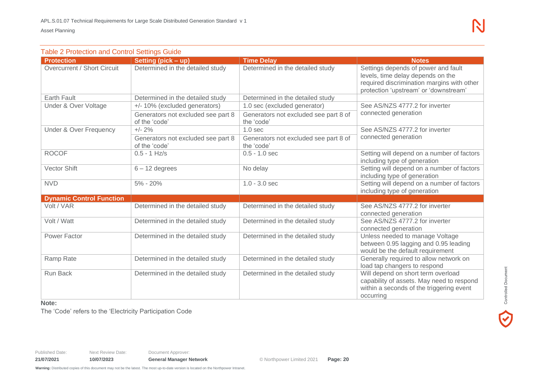| <b>Table 2 Protection and Control Settings Guide</b> |                                                     |                                                     |                                                                                                                                                                 |  |  |
|------------------------------------------------------|-----------------------------------------------------|-----------------------------------------------------|-----------------------------------------------------------------------------------------------------------------------------------------------------------------|--|--|
| <b>Protection</b>                                    | Setting (pick - up)                                 | <b>Time Delay</b>                                   | <b>Notes</b>                                                                                                                                                    |  |  |
| Overcurrent / Short Circuit                          | Determined in the detailed study                    | Determined in the detailed study                    | Settings depends of power and fault<br>levels, time delay depends on the<br>required discrimination margins with other<br>protection 'upstream' or 'downstream' |  |  |
| <b>Earth Fault</b>                                   | Determined in the detailed study                    | Determined in the detailed study                    |                                                                                                                                                                 |  |  |
| Under & Over Voltage                                 | +/- 10% (excluded generators)                       | 1.0 sec (excluded generator)                        | See AS/NZS 4777.2 for inverter                                                                                                                                  |  |  |
|                                                      | Generators not excluded see part 8<br>of the 'code' | Generators not excluded see part 8 of<br>the 'code' | connected generation                                                                                                                                            |  |  |
| <b>Under &amp; Over Frequency</b>                    | $+/- 2%$                                            | 1.0 <sub>sec</sub>                                  | See AS/NZS 4777.2 for inverter                                                                                                                                  |  |  |
|                                                      | Generators not excluded see part 8<br>of the 'code' | Generators not excluded see part 8 of<br>the 'code' | connected generation                                                                                                                                            |  |  |
| <b>ROCOF</b>                                         | $0.5 - 1$ Hz/s                                      | $0.5 - 1.0$ sec                                     | Setting will depend on a number of factors<br>including type of generation                                                                                      |  |  |
| <b>Vector Shift</b>                                  | $6 - 12$ degrees                                    | No delay                                            | Setting will depend on a number of factors<br>including type of generation                                                                                      |  |  |
| <b>NVD</b>                                           | $5\% - 20\%$                                        | $1.0 - 3.0$ sec                                     | Setting will depend on a number of factors<br>including type of generation                                                                                      |  |  |
| <b>Dynamic Control Function</b>                      |                                                     |                                                     |                                                                                                                                                                 |  |  |
| Volt / VAR                                           | Determined in the detailed study                    | Determined in the detailed study                    | See AS/NZS 4777.2 for inverter<br>connected generation                                                                                                          |  |  |
| Volt / Watt                                          | Determined in the detailed study                    | Determined in the detailed study                    | See AS/NZS 4777.2 for inverter<br>connected generation                                                                                                          |  |  |
| <b>Power Factor</b>                                  | Determined in the detailed study                    | Determined in the detailed study                    | Unless needed to manage Voltage<br>between 0.95 lagging and 0.95 leading<br>would be the default requirement                                                    |  |  |
| Ramp Rate                                            | Determined in the detailed study                    | Determined in the detailed study                    | Generally required to allow network on<br>load tap changers to respond                                                                                          |  |  |
| <b>Run Back</b>                                      | Determined in the detailed study                    | Determined in the detailed study                    | Will depend on short term overload<br>capability of assets. May need to respond<br>within a seconds of the triggering event<br>occurring                        |  |  |

#### **Note:**

The 'Code' refers to the 'Electricity Participation Code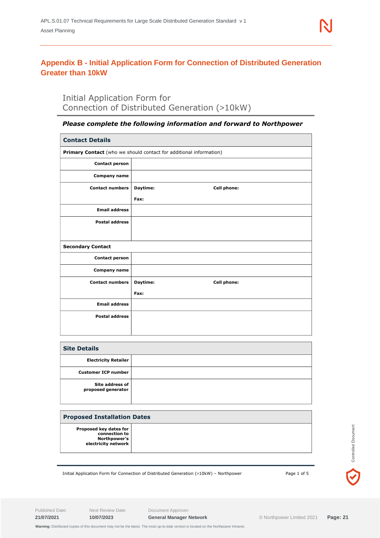# <span id="page-20-0"></span>**Appendix B - Initial Application Form for Connection of Distributed Generation Greater than 10kW**

# Initial Application Form for Connection of Distributed Generation (>10kW)

#### *Please complete the following information and forward to Northpower*

| <b>Contact Details</b>                       |                                                                    |
|----------------------------------------------|--------------------------------------------------------------------|
|                                              |                                                                    |
|                                              | Primary Contact (who we should contact for additional information) |
| <b>Contact person</b>                        |                                                                    |
| Company name                                 |                                                                    |
| <b>Contact numbers</b>                       | Daytime:<br>Cell phone:                                            |
|                                              | Fax:                                                               |
| <b>Email address</b>                         |                                                                    |
| <b>Postal address</b>                        |                                                                    |
|                                              |                                                                    |
| <b>Secondary Contact</b>                     |                                                                    |
| <b>Contact person</b>                        |                                                                    |
| Company name                                 |                                                                    |
| <b>Contact numbers</b>                       | Daytime:<br><b>Cell phone:</b>                                     |
|                                              | Fax:                                                               |
| <b>Email address</b>                         |                                                                    |
| <b>Postal address</b>                        |                                                                    |
|                                              |                                                                    |
|                                              |                                                                    |
| <b>Site Details</b>                          |                                                                    |
| <b>Electricity Retailer</b>                  |                                                                    |
| <b>Customer ICP number</b>                   |                                                                    |
| <b>Site address of</b><br>proposed generator |                                                                    |

| <b>Proposed Installation Dates</b>                                             |  |  |
|--------------------------------------------------------------------------------|--|--|
| Proposed key dates for<br>connection to<br>Northpower's<br>electricity network |  |  |

Initial Application Form for Connection of Distributed Generation (>10kW) – Northpower Page 1 of 5

Published Date: Next Review Date: Document Approver:

Controlled Document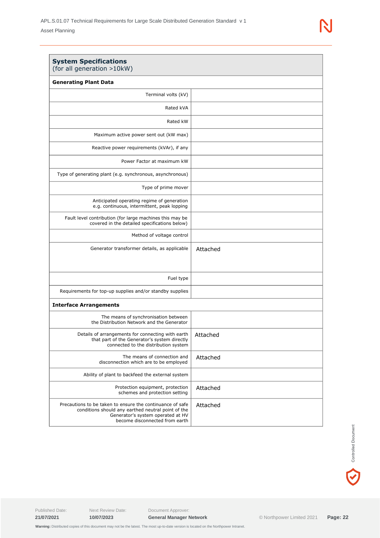| <b>System Specifications</b><br>(for all generation >10kW)                                                                                                                             |          |
|----------------------------------------------------------------------------------------------------------------------------------------------------------------------------------------|----------|
| <b>Generating Plant Data</b>                                                                                                                                                           |          |
| Terminal volts (kV)                                                                                                                                                                    |          |
| Rated kVA                                                                                                                                                                              |          |
| Rated kW                                                                                                                                                                               |          |
| Maximum active power sent out (kW max)                                                                                                                                                 |          |
| Reactive power requirements (kVAr), if any                                                                                                                                             |          |
| Power Factor at maximum kW                                                                                                                                                             |          |
| Type of generating plant (e.g. synchronous, asynchronous)                                                                                                                              |          |
| Type of prime mover                                                                                                                                                                    |          |
| Anticipated operating regime of generation<br>e.g. continuous, intermittent, peak lopping                                                                                              |          |
| Fault level contribution (for large machines this may be<br>covered in the detailed specifications below)                                                                              |          |
| Method of voltage control                                                                                                                                                              |          |
| Generator transformer details, as applicable                                                                                                                                           | Attached |
| Fuel type                                                                                                                                                                              |          |
| Requirements for top-up supplies and/or standby supplies                                                                                                                               |          |
| <b>Interface Arrangements</b>                                                                                                                                                          |          |
| The means of synchronisation between<br>the Distribution Network and the Generator                                                                                                     |          |
| Details of arrangements for connecting with earth<br>that part of the Generator's system directly<br>connected to the distribution system                                              | Attached |
| The means of connection and<br>disconnection which are to be employed                                                                                                                  | Attached |
| Ability of plant to backfeed the external system                                                                                                                                       |          |
| Protection equipment, protection<br>schemes and protection setting                                                                                                                     | Attached |
| Precautions to be taken to ensure the continuance of safe<br>conditions should any earthed neutral point of the<br>Generator's system operated at HV<br>become disconnected from earth | Attached |

 $\blacktriangledown$ 

Published Date: Next Review Date: Document Approver:

 **Warning:** Distributed copies of this document may not be the latest. The most up-to-date version is located on the Northpower Intranet.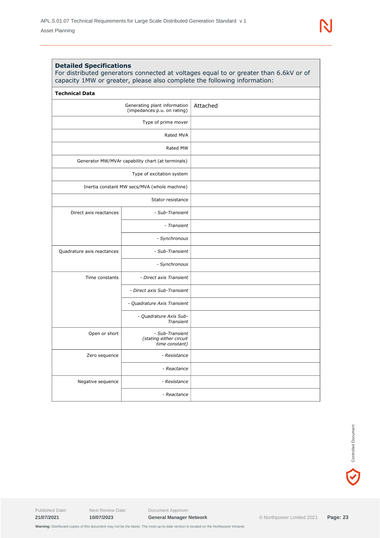#### **Detailed Specifications**

For distributed generators connected at voltages equal to or greater than 6.6kV or of capacity 1MW or greater, please also complete the following information:

| <b>Technical Data</b>                                       |                                                              |          |
|-------------------------------------------------------------|--------------------------------------------------------------|----------|
| Generating plant information<br>(impedances p.u. on rating) |                                                              | Attached |
| Type of prime mover                                         |                                                              |          |
|                                                             | Rated MVA                                                    |          |
|                                                             | Rated MW                                                     |          |
|                                                             | Generator MW/MVAr capability chart (at terminals)            |          |
| Type of excitation system                                   |                                                              |          |
|                                                             | Inertia constant MW secs/MVA (whole machine)                 |          |
|                                                             | Stator resistance                                            |          |
| Direct axis reactances                                      | - Sub-Transient                                              |          |
|                                                             | - Transient                                                  |          |
|                                                             | - Synchronous                                                |          |
| Quadrature axis reactances                                  | - Sub-Transient                                              |          |
|                                                             | - Synchronous                                                |          |
| Time constants                                              | - Direct axis Transient                                      |          |
|                                                             | - Direct axis Sub-Transient                                  |          |
|                                                             | - Quadrature Axis Transient                                  |          |
|                                                             | - Quadrature Axis Sub-<br>Transient                          |          |
| Open or short                                               | - Sub-Transient<br>(stating either circuit<br>time constant) |          |
| Zero sequence                                               | - Resistance                                                 |          |
|                                                             | - Reactance                                                  |          |
| Negative sequence                                           | - Resistance                                                 |          |
|                                                             | - Reactance                                                  |          |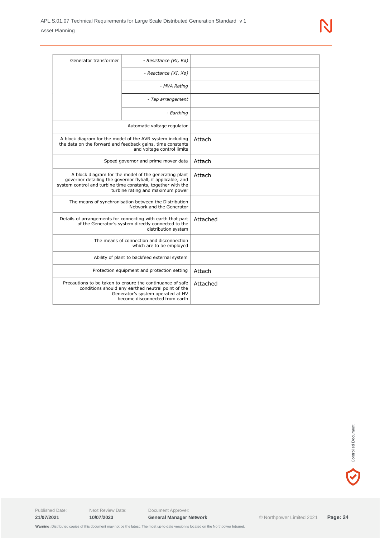| Generator transformer                                                                                                                                                                                                    | - Resistance (RI, Rø)               |          |
|--------------------------------------------------------------------------------------------------------------------------------------------------------------------------------------------------------------------------|-------------------------------------|----------|
|                                                                                                                                                                                                                          | - Reactance (XI, Xø)                |          |
|                                                                                                                                                                                                                          | - MVA Rating                        |          |
|                                                                                                                                                                                                                          | - Tap arrangement                   |          |
|                                                                                                                                                                                                                          | - Earthing                          |          |
|                                                                                                                                                                                                                          | Automatic voltage regulator         |          |
| A block diagram for the model of the AVR system including<br>the data on the forward and feedback gains, time constants<br>and voltage control limits                                                                    |                                     | Attach   |
|                                                                                                                                                                                                                          | Speed governor and prime mover data | Attach   |
| A block diagram for the model of the generating plant<br>governor detailing the governor flyball, if applicable, and<br>system control and turbine time constants, together with the<br>turbine rating and maximum power |                                     | Attach   |
| The means of synchronisation between the Distribution<br>Network and the Generator                                                                                                                                       |                                     |          |
| Details of arrangements for connecting with earth that part<br>of the Generator's system directly connected to the<br>distribution system                                                                                |                                     | Attached |
| The means of connection and disconnection<br>which are to be employed                                                                                                                                                    |                                     |          |
| Ability of plant to backfeed external system                                                                                                                                                                             |                                     |          |
| Protection equipment and protection setting                                                                                                                                                                              |                                     | Attach   |
| Precautions to be taken to ensure the continuance of safe<br>conditions should any earthed neutral point of the<br>Generator's system operated at HV<br>become disconnected from earth                                   |                                     | Attached |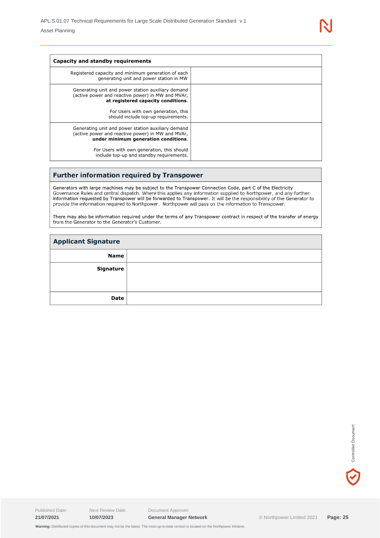| Capacity and standby requirements                                                                                                               |  |
|-------------------------------------------------------------------------------------------------------------------------------------------------|--|
| Registered capacity and minimum generation of each<br>generating unit and power station in MW                                                   |  |
| Generating unit and power station auxiliary demand<br>(active power and reactive power) in MW and MVAr,<br>at registered capacity conditions.   |  |
| For Users with own generation, this<br>should include top-up requirements.                                                                      |  |
| Generating unit and power station auxiliary demand<br>(active power and reactive power) in MW and MVAr,<br>under minimum generation conditions. |  |
| For Users with own generation, this should<br>include top-up and standby requirements.                                                          |  |

#### **Further information required by Transpower**

Generators with large machines may be subject to the Transpower Connection Code, part C of the Electricity<br>Governance Rules and central dispatch. Where this applies any information supplied to Northpower, and any further<br>i

There may also be information required under the terms of any Transpower contract in respect of the transfer of energy from the Generator to the Generator's Customer.

| <b>Applicant Signature</b> |  |
|----------------------------|--|
| <b>Name</b>                |  |
| Signature                  |  |
| Date                       |  |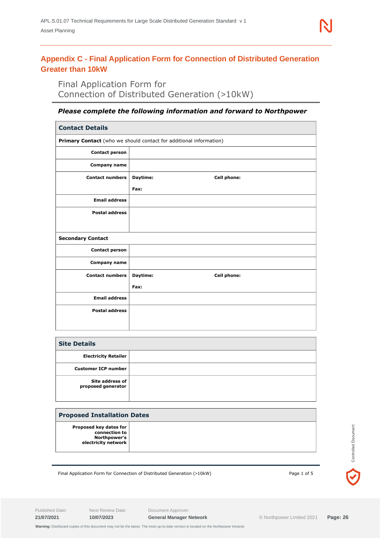# <span id="page-25-0"></span>**Appendix C - Final Application Form for Connection of Distributed Generation Greater than 10kW**

Final Application Form for Connection of Distributed Generation (>10kW)

#### *Please complete the following information and forward to Northpower*

| <b>Contact Details</b>                                             |                                |  |
|--------------------------------------------------------------------|--------------------------------|--|
| Primary Contact (who we should contact for additional information) |                                |  |
| <b>Contact person</b>                                              |                                |  |
| <b>Company name</b>                                                |                                |  |
| <b>Contact numbers</b>                                             | Daytime:<br>Cell phone:        |  |
|                                                                    | Fax:                           |  |
| <b>Email address</b>                                               |                                |  |
| <b>Postal address</b>                                              |                                |  |
|                                                                    |                                |  |
| <b>Secondary Contact</b>                                           |                                |  |
| <b>Contact person</b>                                              |                                |  |
| Company name                                                       |                                |  |
| <b>Contact numbers</b>                                             | Daytime:<br><b>Cell phone:</b> |  |
|                                                                    | Fax:                           |  |
| <b>Email address</b>                                               |                                |  |
| <b>Postal address</b>                                              |                                |  |
|                                                                    |                                |  |

| <b>Site Details</b>                   |  |
|---------------------------------------|--|
| <b>Electricity Retailer</b>           |  |
| <b>Customer ICP number</b>            |  |
| Site address of<br>proposed generator |  |

#### **Proposed Installation Dates**

Final Application Form for Connection of Distributed Generation (>10kW) Page 1 of 5

Published Date: Next Review Date: Document Approver:

**Controlled Document**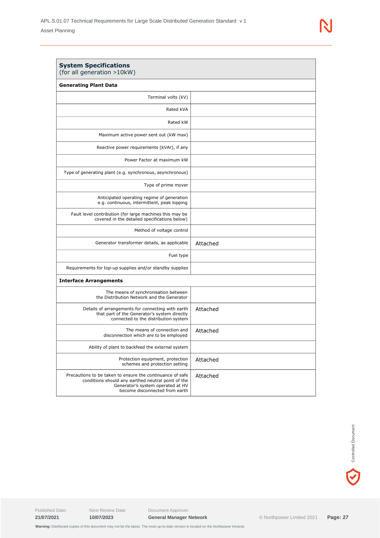| <b>System Specifications</b><br>(for all generation >10kW)                                                                                                                             |          |
|----------------------------------------------------------------------------------------------------------------------------------------------------------------------------------------|----------|
| <b>Generating Plant Data</b>                                                                                                                                                           |          |
| Terminal volts (kV)                                                                                                                                                                    |          |
| Rated kVA                                                                                                                                                                              |          |
| Rated kW                                                                                                                                                                               |          |
| Maximum active power sent out (kW max)                                                                                                                                                 |          |
| Reactive power requirements (kVAr), if any                                                                                                                                             |          |
| Power Factor at maximum kW                                                                                                                                                             |          |
| Type of generating plant (e.g. synchronous, asynchronous)                                                                                                                              |          |
| Type of prime mover                                                                                                                                                                    |          |
| Anticipated operating regime of generation<br>e.g. continuous, intermittent, peak lopping                                                                                              |          |
| Fault level contribution (for large machines this may be<br>covered in the detailed specifications below)                                                                              |          |
| Method of voltage control                                                                                                                                                              |          |
| Generator transformer details, as applicable                                                                                                                                           | Attached |
| Fuel type                                                                                                                                                                              |          |
| Requirements for top-up supplies and/or standby supplies                                                                                                                               |          |
| <b>Interface Arrangements</b>                                                                                                                                                          |          |
| The means of synchronisation between<br>the Distribution Network and the Generator                                                                                                     |          |
| Details of arrangements for connecting with earth<br>that part of the Generator's system directly<br>connected to the distribution system                                              | Attached |
| The means of connection and<br>disconnection which are to be employed                                                                                                                  | Attached |
| Ability of plant to backfeed the external system                                                                                                                                       |          |
| Protection equipment, protection<br>schemes and protection setting                                                                                                                     | Attached |
| Precautions to be taken to ensure the continuance of safe<br>conditions should any earthed neutral point of the<br>Generator's system operated at HV<br>become disconnected from earth | Attached |

 $\blacktriangledown$ 

Published Date: Next Review Date: Document Approver:

 **Warning:** Distributed copies of this document may not be the latest. The most up-to-date version is located on the Northpower Intranet.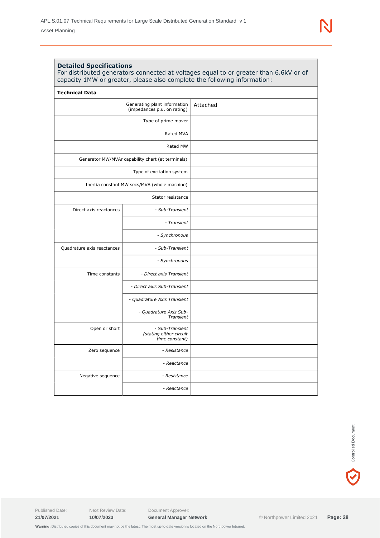| <b>Technical Data</b>                                       |                                                              |          |
|-------------------------------------------------------------|--------------------------------------------------------------|----------|
| Generating plant information<br>(impedances p.u. on rating) |                                                              | Attached |
|                                                             | Type of prime mover                                          |          |
|                                                             | Rated MVA                                                    |          |
| Rated MW                                                    |                                                              |          |
|                                                             | Generator MW/MVAr capability chart (at terminals)            |          |
| Type of excitation system                                   |                                                              |          |
| Inertia constant MW secs/MVA (whole machine)                |                                                              |          |
|                                                             | Stator resistance                                            |          |
| Direct axis reactances                                      | - Sub-Transient                                              |          |
|                                                             | - Transient                                                  |          |
|                                                             | - Synchronous                                                |          |
| Quadrature axis reactances                                  | - Sub-Transient                                              |          |
|                                                             | - Synchronous                                                |          |
| Time constants                                              | - Direct axis Transient                                      |          |
|                                                             | - Direct axis Sub-Transient                                  |          |
|                                                             | - Quadrature Axis Transient                                  |          |
|                                                             | - Quadrature Axis Sub-<br>Transient                          |          |
| Open or short                                               | - Sub-Transient<br>(stating either circuit<br>time constant) |          |
| Zero sequence                                               | - Resistance                                                 |          |
|                                                             | - Reactance                                                  |          |
| Negative sequence                                           | - Resistance                                                 |          |
|                                                             | - Reactance                                                  |          |

 $\blacktriangledown$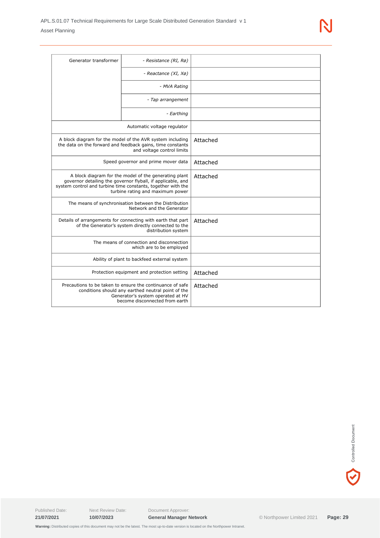| Generator transformer                                                                                                                                                                                                    | - Resistance (RI, Rø)               |          |
|--------------------------------------------------------------------------------------------------------------------------------------------------------------------------------------------------------------------------|-------------------------------------|----------|
|                                                                                                                                                                                                                          | - Reactance (XI, Xø)                |          |
|                                                                                                                                                                                                                          | - MVA Rating                        |          |
|                                                                                                                                                                                                                          | - Tap arrangement                   |          |
|                                                                                                                                                                                                                          | - Earthing                          |          |
|                                                                                                                                                                                                                          | Automatic voltage regulator         |          |
| A block diagram for the model of the AVR system including<br>the data on the forward and feedback gains, time constants<br>and voltage control limits                                                                    |                                     | Attached |
|                                                                                                                                                                                                                          | Speed governor and prime mover data | Attached |
| A block diagram for the model of the generating plant<br>governor detailing the governor flyball, if applicable, and<br>system control and turbine time constants, together with the<br>turbine rating and maximum power |                                     | Attached |
| The means of synchronisation between the Distribution<br>Network and the Generator                                                                                                                                       |                                     |          |
| Details of arrangements for connecting with earth that part<br>of the Generator's system directly connected to the<br>distribution system                                                                                |                                     | Attached |
| The means of connection and disconnection<br>which are to be employed                                                                                                                                                    |                                     |          |
| Ability of plant to backfeed external system                                                                                                                                                                             |                                     |          |
| Protection equipment and protection setting                                                                                                                                                                              |                                     | Attached |
| Precautions to be taken to ensure the continuance of safe<br>conditions should any earthed neutral point of the<br>Generator's system operated at HV<br>become disconnected from earth                                   |                                     | Attached |